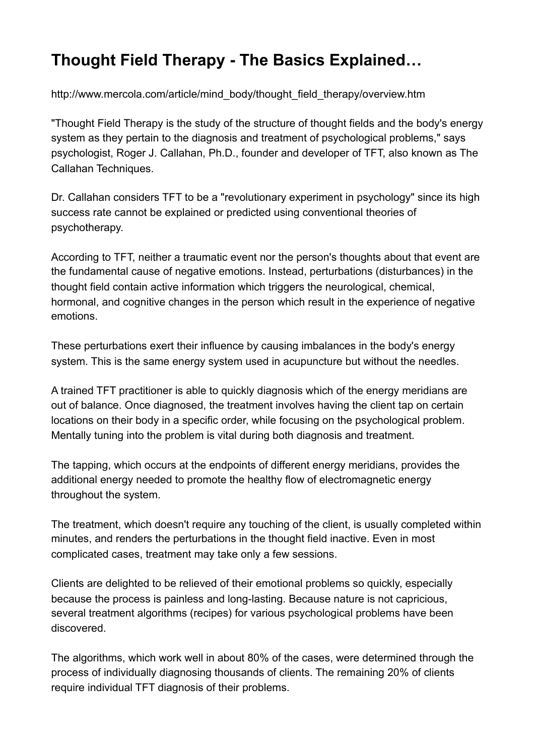# **Thought Field Therapy - The Basics Explained…**

[http://www.mercola.com/article/mind\\_body/thought\\_field\\_therapy/overview.htm](http://www.mercola.com/article/mind_body/thought_field_therapy/overview.htm) 

"Thought Field Therapy is the study of the structure of thought fields and the body's energy system as they pertain to the diagnosis and treatment of psychological problems," says psychologist, Roger J. Callahan, Ph.D., founder and developer of TFT, also known as The Callahan Techniques.

Dr. Callahan considers TFT to be a "revolutionary experiment in psychology" since its high success rate cannot be explained or predicted using conventional theories of psychotherapy.

According to TFT, neither a traumatic event nor the person's thoughts about that event are the fundamental cause of negative emotions. Instead, perturbations (disturbances) in the thought field contain active information which triggers the neurological, chemical, hormonal, and cognitive changes in the person which result in the experience of negative emotions.

These perturbations exert their influence by causing imbalances in the body's energy system. This is the same energy system used in acupuncture but without the needles.

A trained TFT practitioner is able to quickly diagnosis which of the energy meridians are out of balance. Once diagnosed, the treatment involves having the client tap on certain locations on their body in a specific order, while focusing on the psychological problem. Mentally tuning into the problem is vital during both diagnosis and treatment.

The tapping, which occurs at the endpoints of different energy meridians, provides the additional energy needed to promote the healthy flow of electromagnetic energy throughout the system.

The treatment, which doesn't require any touching of the client, is usually completed within minutes, and renders the perturbations in the thought field inactive. Even in most complicated cases, treatment may take only a few sessions.

Clients are delighted to be relieved of their emotional problems so quickly, especially because the process is painless and long-lasting. Because nature is not capricious, several treatment algorithms (recipes) for various psychological problems have been discovered.

The algorithms, which work well in about 80% of the cases, were determined through the process of individually diagnosing thousands of clients. The remaining 20% of clients require individual TFT diagnosis of their problems.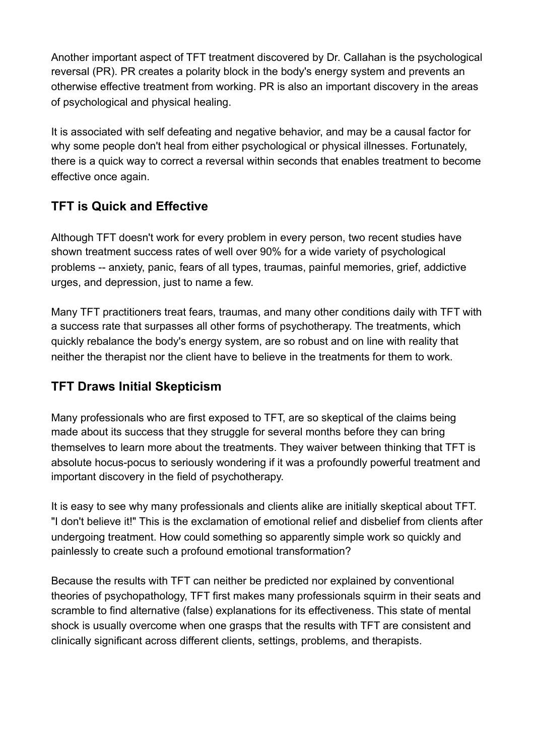Another important aspect of TFT treatment discovered by Dr. Callahan is the psychological reversal (PR). PR creates a polarity block in the body's energy system and prevents an otherwise effective treatment from working. PR is also an important discovery in the areas of psychological and physical healing.

It is associated with self defeating and negative behavior, and may be a causal factor for why some people don't heal from either psychological or physical illnesses. Fortunately, there is a quick way to correct a reversal within seconds that enables treatment to become effective once again.

## **TFT is Quick and Effective**

Although TFT doesn't work for every problem in every person, two recent studies have shown treatment success rates of well over 90% for a wide variety of psychological problems -- anxiety, panic, fears of all types, traumas, painful memories, grief, addictive urges, and depression, just to name a few.

Many TFT practitioners treat fears, traumas, and many other conditions daily with TFT with a success rate that surpasses all other forms of psychotherapy. The treatments, which quickly rebalance the body's energy system, are so robust and on line with reality that neither the therapist nor the client have to believe in the treatments for them to work.

## **TFT Draws Initial Skepticism**

Many professionals who are first exposed to TFT, are so skeptical of the claims being made about its success that they struggle for several months before they can bring themselves to learn more about the treatments. They waiver between thinking that TFT is absolute hocus-pocus to seriously wondering if it was a profoundly powerful treatment and important discovery in the field of psychotherapy.

It is easy to see why many professionals and clients alike are initially skeptical about TFT. "I don't believe it!" This is the exclamation of emotional relief and disbelief from clients after undergoing treatment. How could something so apparently simple work so quickly and painlessly to create such a profound emotional transformation?

Because the results with TFT can neither be predicted nor explained by conventional theories of psychopathology, TFT first makes many professionals squirm in their seats and scramble to find alternative (false) explanations for its effectiveness. This state of mental shock is usually overcome when one grasps that the results with TFT are consistent and clinically significant across different clients, settings, problems, and therapists.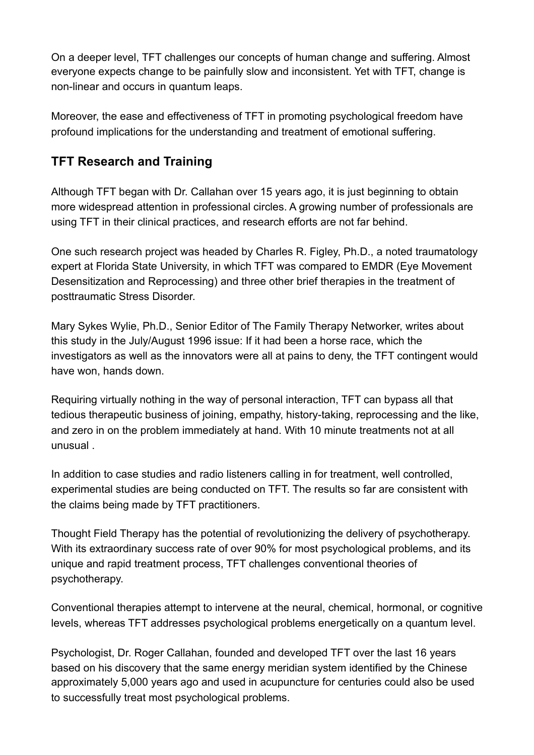On a deeper level, TFT challenges our concepts of human change and suffering. Almost everyone expects change to be painfully slow and inconsistent. Yet with TFT, change is non-linear and occurs in quantum leaps.

Moreover, the ease and effectiveness of TFT in promoting psychological freedom have profound implications for the understanding and treatment of emotional suffering.

## **TFT Research and Training**

Although TFT began with Dr. Callahan over 15 years ago, it is just beginning to obtain more widespread attention in professional circles. A growing number of professionals are using TFT in their clinical practices, and research efforts are not far behind.

One such research project was headed by Charles R. Figley, Ph.D., a noted traumatology expert at Florida State University, in which TFT was compared to EMDR (Eye Movement Desensitization and Reprocessing) and three other brief therapies in the treatment of posttraumatic Stress Disorder.

Mary Sykes Wylie, Ph.D., Senior Editor of The Family Therapy Networker, writes about this study in the July/August 1996 issue: If it had been a horse race, which the investigators as well as the innovators were all at pains to deny, the TFT contingent would have won, hands down.

Requiring virtually nothing in the way of personal interaction, TFT can bypass all that tedious therapeutic business of joining, empathy, history-taking, reprocessing and the like, and zero in on the problem immediately at hand. With 10 minute treatments not at all unusual .

In addition to case studies and radio listeners calling in for treatment, well controlled, experimental studies are being conducted on TFT. The results so far are consistent with the claims being made by TFT practitioners.

Thought Field Therapy has the potential of revolutionizing the delivery of psychotherapy. With its extraordinary success rate of over 90% for most psychological problems, and its unique and rapid treatment process, TFT challenges conventional theories of psychotherapy.

Conventional therapies attempt to intervene at the neural, chemical, hormonal, or cognitive levels, whereas TFT addresses psychological problems energetically on a quantum level.

Psychologist, Dr. Roger Callahan, founded and developed TFT over the last 16 years based on his discovery that the same energy meridian system identified by the Chinese approximately 5,000 years ago and used in acupuncture for centuries could also be used to successfully treat most psychological problems.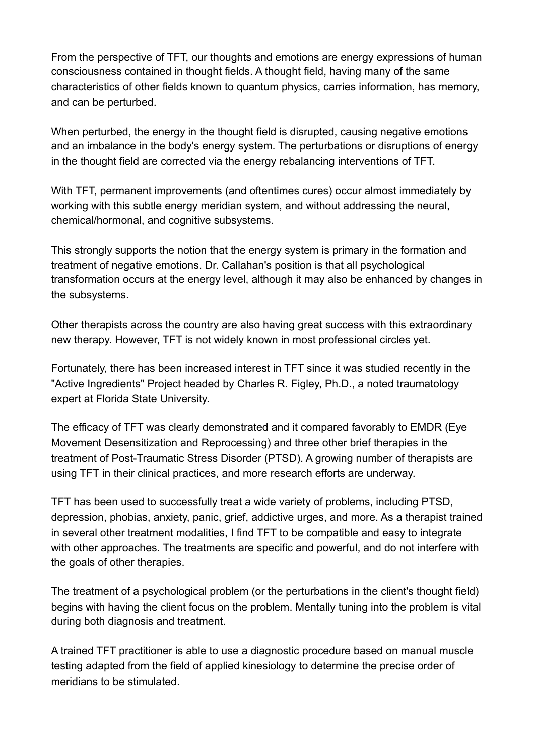From the perspective of TFT, our thoughts and emotions are energy expressions of human consciousness contained in thought fields. A thought field, having many of the same characteristics of other fields known to quantum physics, carries information, has memory, and can be perturbed.

When perturbed, the energy in the thought field is disrupted, causing negative emotions and an imbalance in the body's energy system. The perturbations or disruptions of energy in the thought field are corrected via the energy rebalancing interventions of TFT.

With TFT, permanent improvements (and oftentimes cures) occur almost immediately by working with this subtle energy meridian system, and without addressing the neural, chemical/hormonal, and cognitive subsystems.

This strongly supports the notion that the energy system is primary in the formation and treatment of negative emotions. Dr. Callahan's position is that all psychological transformation occurs at the energy level, although it may also be enhanced by changes in the subsystems.

Other therapists across the country are also having great success with this extraordinary new therapy. However, TFT is not widely known in most professional circles yet.

Fortunately, there has been increased interest in TFT since it was studied recently in the "Active Ingredients" Project headed by Charles R. Figley, Ph.D., a noted traumatology expert at Florida State University.

The efficacy of TFT was clearly demonstrated and it compared favorably to EMDR (Eye Movement Desensitization and Reprocessing) and three other brief therapies in the treatment of Post-Traumatic Stress Disorder (PTSD). A growing number of therapists are using TFT in their clinical practices, and more research efforts are underway.

TFT has been used to successfully treat a wide variety of problems, including PTSD, depression, phobias, anxiety, panic, grief, addictive urges, and more. As a therapist trained in several other treatment modalities, I find TFT to be compatible and easy to integrate with other approaches. The treatments are specific and powerful, and do not interfere with the goals of other therapies.

The treatment of a psychological problem (or the perturbations in the client's thought field) begins with having the client focus on the problem. Mentally tuning into the problem is vital during both diagnosis and treatment.

A trained TFT practitioner is able to use a diagnostic procedure based on manual muscle testing adapted from the field of applied kinesiology to determine the precise order of meridians to be stimulated.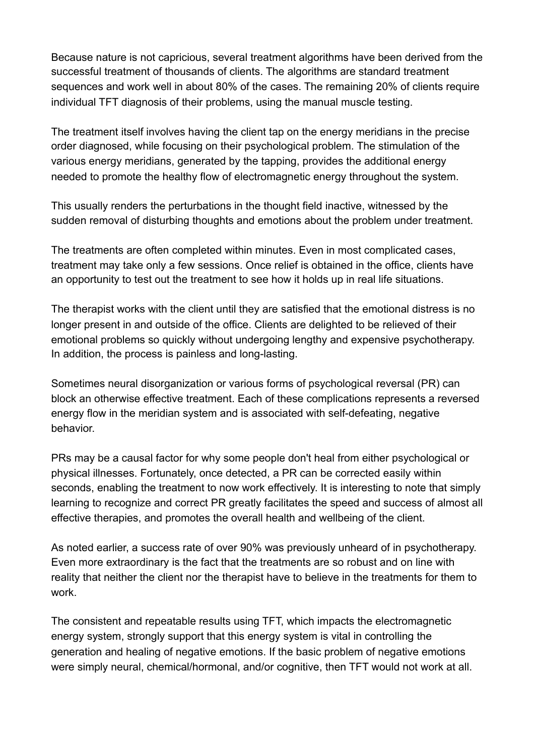Because nature is not capricious, several treatment algorithms have been derived from the successful treatment of thousands of clients. The algorithms are standard treatment sequences and work well in about 80% of the cases. The remaining 20% of clients require individual TFT diagnosis of their problems, using the manual muscle testing.

The treatment itself involves having the client tap on the energy meridians in the precise order diagnosed, while focusing on their psychological problem. The stimulation of the various energy meridians, generated by the tapping, provides the additional energy needed to promote the healthy flow of electromagnetic energy throughout the system.

This usually renders the perturbations in the thought field inactive, witnessed by the sudden removal of disturbing thoughts and emotions about the problem under treatment.

The treatments are often completed within minutes. Even in most complicated cases, treatment may take only a few sessions. Once relief is obtained in the office, clients have an opportunity to test out the treatment to see how it holds up in real life situations.

The therapist works with the client until they are satisfied that the emotional distress is no longer present in and outside of the office. Clients are delighted to be relieved of their emotional problems so quickly without undergoing lengthy and expensive psychotherapy. In addition, the process is painless and long-lasting.

Sometimes neural disorganization or various forms of psychological reversal (PR) can block an otherwise effective treatment. Each of these complications represents a reversed energy flow in the meridian system and is associated with self-defeating, negative behavior.

PRs may be a causal factor for why some people don't heal from either psychological or physical illnesses. Fortunately, once detected, a PR can be corrected easily within seconds, enabling the treatment to now work effectively. It is interesting to note that simply learning to recognize and correct PR greatly facilitates the speed and success of almost all effective therapies, and promotes the overall health and wellbeing of the client.

As noted earlier, a success rate of over 90% was previously unheard of in psychotherapy. Even more extraordinary is the fact that the treatments are so robust and on line with reality that neither the client nor the therapist have to believe in the treatments for them to work.

The consistent and repeatable results using TFT, which impacts the electromagnetic energy system, strongly support that this energy system is vital in controlling the generation and healing of negative emotions. If the basic problem of negative emotions were simply neural, chemical/hormonal, and/or cognitive, then TFT would not work at all.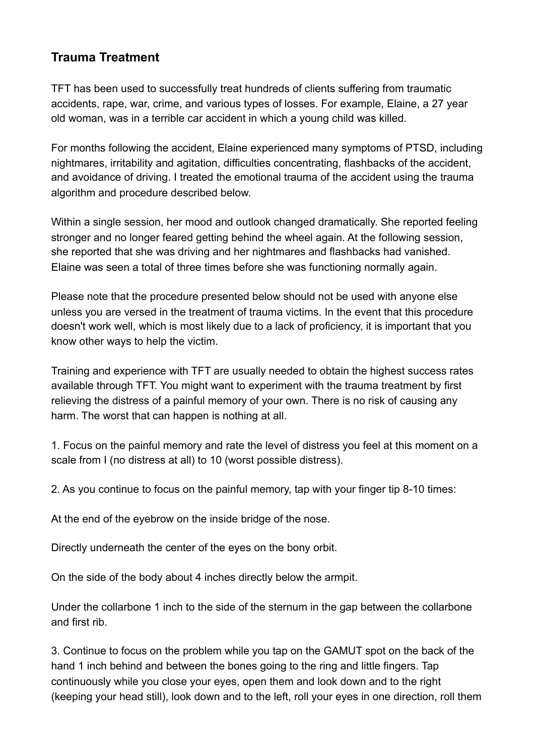### **Trauma Treatment**

TFT has been used to successfully treat hundreds of clients suffering from traumatic accidents, rape, war, crime, and various types of losses. For example, Elaine, a 27 year old woman, was in a terrible car accident in which a young child was killed.

For months following the accident, Elaine experienced many symptoms of PTSD, including nightmares, irritability and agitation, difficulties concentrating, flashbacks of the accident, and avoidance of driving. I treated the emotional trauma of the accident using the trauma algorithm and procedure described below.

Within a single session, her mood and outlook changed dramatically. She reported feeling stronger and no longer feared getting behind the wheel again. At the following session, she reported that she was driving and her nightmares and flashbacks had vanished. Elaine was seen a total of three times before she was functioning normally again.

Please note that the procedure presented below should not be used with anyone else unless you are versed in the treatment of trauma victims. In the event that this procedure doesn't work well, which is most likely due to a lack of proficiency, it is important that you know other ways to help the victim.

Training and experience with TFT are usually needed to obtain the highest success rates available through TFT. You might want to experiment with the trauma treatment by first relieving the distress of a painful memory of your own. There is no risk of causing any harm. The worst that can happen is nothing at all.

1. Focus on the painful memory and rate the level of distress you feel at this moment on a scale from I (no distress at all) to 10 (worst possible distress).

2. As you continue to focus on the painful memory, tap with your finger tip 8-10 times:

At the end of the eyebrow on the inside bridge of the nose.

Directly underneath the center of the eyes on the bony orbit.

On the side of the body about 4 inches directly below the armpit.

Under the collarbone 1 inch to the side of the sternum in the gap between the collarbone and first rib.

3. Continue to focus on the problem while you tap on the GAMUT spot on the back of the hand 1 inch behind and between the bones going to the ring and little fingers. Tap continuously while you close your eyes, open them and look down and to the right (keeping your head still), look down and to the left, roll your eyes in one direction, roll them